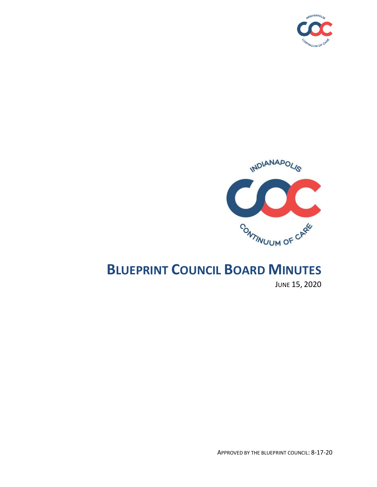



# **BLUEPRINT COUNCIL BOARD MINUTES**

JUNE 15, 2020

APPROVED BY THE BLUEPRINT COUNCIL: 8-17-20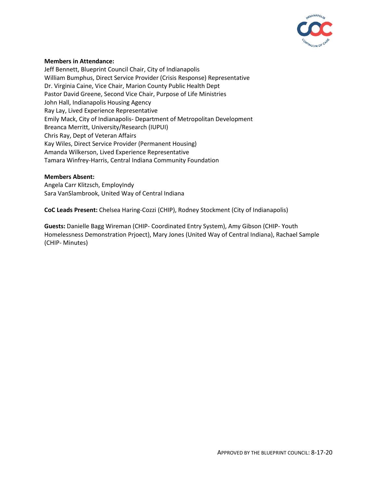

### **Members in Attendance:**

Jeff Bennett, Blueprint Council Chair, City of Indianapolis William Bumphus, Direct Service Provider (Crisis Response) Representative Dr. Virginia Caine, Vice Chair, Marion County Public Health Dept Pastor David Greene, Second Vice Chair, Purpose of Life Ministries John Hall, Indianapolis Housing Agency Ray Lay, Lived Experience Representative Emily Mack, City of Indianapolis- Department of Metropolitan Development Breanca Merritt, University/Research (IUPUI) Chris Ray, Dept of Veteran Affairs Kay Wiles, Direct Service Provider (Permanent Housing) Amanda Wilkerson, Lived Experience Representative Tamara Winfrey-Harris, Central Indiana Community Foundation

#### **Members Absent:**

Angela Carr Klitzsch, EmployIndy Sara VanSlambrook, United Way of Central Indiana

**CoC Leads Present:** Chelsea Haring-Cozzi (CHIP), Rodney Stockment (City of Indianapolis)

**Guests:** Danielle Bagg Wireman (CHIP- Coordinated Entry System), Amy Gibson (CHIP- Youth Homelessness Demonstration Prjoect), Mary Jones (United Way of Central Indiana), Rachael Sample (CHIP- Minutes)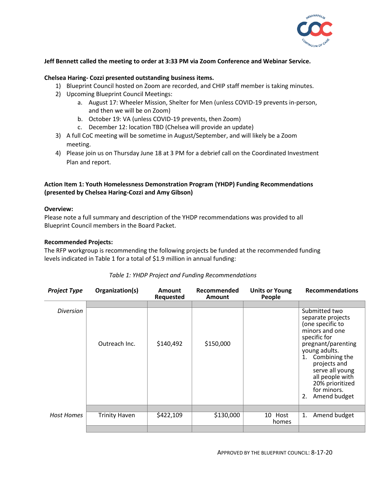

## **Jeff Bennett called the meeting to order at 3:33 PM via Zoom Conference and Webinar Service.**

#### **Chelsea Haring- Cozzi presented outstanding business items.**

- 1) Blueprint Council hosted on Zoom are recorded, and CHIP staff member is taking minutes.
- 2) Upcoming Blueprint Council Meetings:
	- a. August 17: Wheeler Mission, Shelter for Men (unless COVID-19 prevents in-person, and then we will be on Zoom)
	- b. October 19: VA (unless COVID-19 prevents, then Zoom)
	- c. December 12: location TBD (Chelsea will provide an update)
- 3) A full CoC meeting will be sometime in August/September, and will likely be a Zoom meeting.
- 4) Please join us on Thursday June 18 at 3 PM for a debrief call on the Coordinated Investment Plan and report.

# **Action Item 1: Youth Homelessness Demonstration Program (YHDP) Funding Recommendations (presented by Chelsea Haring-Cozzi and Amy Gibson)**

#### **Overview:**

Please note a full summary and description of the YHDP recommendations was provided to all Blueprint Council members in the Board Packet.

#### **Recommended Projects:**

The RFP workgroup is recommending the following projects be funded at the recommended funding levels indicated in Table 1 for a total of \$1.9 million in annual funding:

| <b>Project Type</b> | Organization(s)      | <b>Amount</b><br>Requested | Recommended<br>Amount | <b>Units or Young</b><br>People | <b>Recommendations</b>                                                                                                                                                                                                                                               |  |
|---------------------|----------------------|----------------------------|-----------------------|---------------------------------|----------------------------------------------------------------------------------------------------------------------------------------------------------------------------------------------------------------------------------------------------------------------|--|
|                     |                      |                            |                       |                                 |                                                                                                                                                                                                                                                                      |  |
| Diversion           | Outreach Inc.        | \$140,492                  | \$150,000             |                                 | Submitted two<br>separate projects<br>(one specific to<br>minors and one<br>specific for<br>pregnant/parenting<br>young adults.<br>Combining the<br>1.<br>projects and<br>serve all young<br>all people with<br>20% prioritized<br>for minors.<br>Amend budget<br>2. |  |
|                     |                      |                            |                       |                                 |                                                                                                                                                                                                                                                                      |  |
| <b>Host Homes</b>   | <b>Trinity Haven</b> | \$422,109                  | \$130,000             | 10 Host<br>homes                | Amend budget<br>1.                                                                                                                                                                                                                                                   |  |
|                     |                      |                            |                       |                                 |                                                                                                                                                                                                                                                                      |  |

# *Table 1: YHDP Project and Funding Recommendations*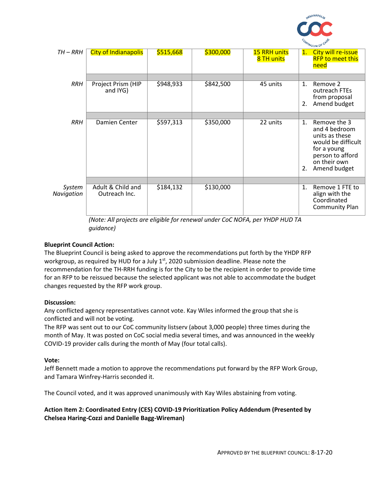

| TH – RRH             | <b>City of Indianapolis</b>        | \$515,668 | \$300,000 | <b>15 RRH units</b><br>8 TH units | 1.       | City will re-issue<br><b>RFP to meet this</b><br>need                                                                                    |  |  |
|----------------------|------------------------------------|-----------|-----------|-----------------------------------|----------|------------------------------------------------------------------------------------------------------------------------------------------|--|--|
|                      |                                    |           |           |                                   |          |                                                                                                                                          |  |  |
| <b>RRH</b>           | Project Prism (HIP<br>and IYG)     | \$948,933 | \$842,500 | 45 units                          | 1.<br>2. | Remove 2<br>outreach FTEs<br>from proposal<br>Amend budget                                                                               |  |  |
|                      |                                    |           |           |                                   |          |                                                                                                                                          |  |  |
| <b>RRH</b>           | Damien Center                      | \$597,313 | \$350,000 | 22 units                          | 1.<br>2. | Remove the 3<br>and 4 bedroom<br>units as these<br>would be difficult<br>for a young<br>person to afford<br>on their own<br>Amend budget |  |  |
|                      |                                    |           |           |                                   |          |                                                                                                                                          |  |  |
| System<br>Navigation | Adult & Child and<br>Outreach Inc. | \$184,132 | \$130,000 |                                   | 1.       | Remove 1 FTE to<br>align with the<br>Coordinated<br><b>Community Plan</b>                                                                |  |  |

*(Note: All projects are eligible for renewal under CoC NOFA, per YHDP HUD TA guidance)*

# **Blueprint Council Action:**

The Blueprint Council is being asked to approve the recommendations put forth by the YHDP RFP workgroup, as required by HUD for a July  $1<sup>st</sup>$ , 2020 submission deadline. Please note the recommendation for the TH-RRH funding is for the City to be the recipient in order to provide time for an RFP to be reissued because the selected applicant was not able to accommodate the budget changes requested by the RFP work group.

# **Discussion:**

Any conflicted agency representatives cannot vote. Kay Wiles informed the group that she is conflicted and will not be voting.

The RFP was sent out to our CoC community listserv (about 3,000 people) three times during the month of May. It was posted on CoC social media several times, and was announced in the weekly COVID-19 provider calls during the month of May (four total calls).

# **Vote:**

Jeff Bennett made a motion to approve the recommendations put forward by the RFP Work Group, and Tamara Winfrey-Harris seconded it.

The Council voted, and it was approved unanimously with Kay Wiles abstaining from voting.

# **Action Item 2: Coordinated Entry (CES) COVID-19 Prioritization Policy Addendum (Presented by Chelsea Haring-Cozzi and Danielle Bagg-Wireman)**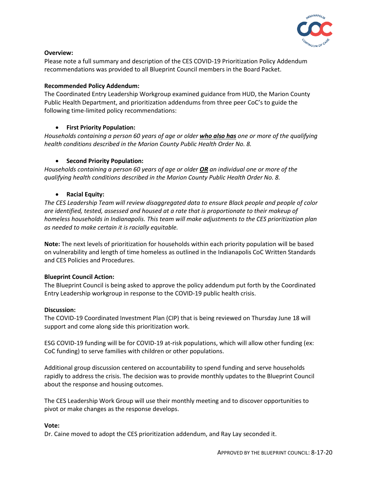

# **Overview:**

Please note a full summary and description of the CES COVID-19 Prioritization Policy Addendum recommendations was provided to all Blueprint Council members in the Board Packet.

# **Recommended Policy Addendum:**

The Coordinated Entry Leadership Workgroup examined guidance from HUD, the Marion County Public Health Department, and prioritization addendums from three peer CoC's to guide the following time-limited policy recommendations:

# **First Priority Population:**

*Households containing a person 60 years of age or older who also has one or more of the qualifying health conditions described in the Marion County Public Health Order No. 8.*

# **•** Second Priority Population:

*Households containing a person 60 years of age or older OR an individual one or more of the qualifying health conditions described in the Marion County Public Health Order No. 8.*

# **Racial Equity:**

*The CES Leadership Team will review disaggregated data to ensure Black people and people of color are identified, tested, assessed and housed at a rate that is proportionate to their makeup of homeless households in Indianapolis. This team will make adjustments to the CES prioritization plan as needed to make certain it is racially equitable.* 

**Note:** The next levels of prioritization for households within each priority population will be based on vulnerability and length of time homeless as outlined in the Indianapolis CoC Written Standards and CES Policies and Procedures.

# **Blueprint Council Action:**

The Blueprint Council is being asked to approve the policy addendum put forth by the Coordinated Entry Leadership workgroup in response to the COVID-19 public health crisis.

# **Discussion:**

The COVID-19 Coordinated Investment Plan (CIP) that is being reviewed on Thursday June 18 will support and come along side this prioritization work.

ESG COVID-19 funding will be for COVID-19 at-risk populations, which will allow other funding (ex: CoC funding) to serve families with children or other populations.

Additional group discussion centered on accountability to spend funding and serve households rapidly to address the crisis. The decision was to provide monthly updates to the Blueprint Council about the response and housing outcomes.

The CES Leadership Work Group will use their monthly meeting and to discover opportunities to pivot or make changes as the response develops.

# **Vote:**

Dr. Caine moved to adopt the CES prioritization addendum, and Ray Lay seconded it.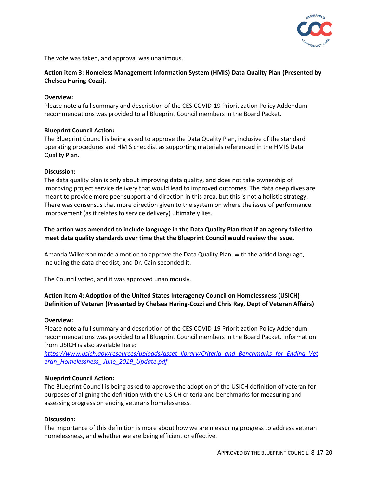

The vote was taken, and approval was unanimous.

# **Action item 3: Homeless Management Information System (HMIS) Data Quality Plan (Presented by Chelsea Haring-Cozzi).**

## **Overview:**

Please note a full summary and description of the CES COVID-19 Prioritization Policy Addendum recommendations was provided to all Blueprint Council members in the Board Packet.

# **Blueprint Council Action:**

The Blueprint Council is being asked to approve the Data Quality Plan, inclusive of the standard operating procedures and HMIS checklist as supporting materials referenced in the HMIS Data Quality Plan.

### **Discussion:**

The data quality plan is only about improving data quality, and does not take ownership of improving project service delivery that would lead to improved outcomes. The data deep dives are meant to provide more peer support and direction in this area, but this is not a holistic strategy. There was consensus that more direction given to the system on where the issue of performance improvement (as it relates to service delivery) ultimately lies.

# **The action was amended to include language in the Data Quality Plan that if an agency failed to meet data quality standards over time that the Blueprint Council would review the issue.**

Amanda Wilkerson made a motion to approve the Data Quality Plan, with the added language, including the data checklist, and Dr. Cain seconded it.

The Council voted, and it was approved unanimously.

# **Action Item 4: Adoption of the United States Interagency Council on Homelessness (USICH) Definition of Veteran (Presented by Chelsea Haring-Cozzi and Chris Ray, Dept of Veteran Affairs)**

#### **Overview:**

Please note a full summary and description of the CES COVID-19 Prioritization Policy Addendum recommendations was provided to all Blueprint Council members in the Board Packet. Information from USICH is also available here:

*[https://www.usich.gov/resources/uploads/asset\\_library/Criteria\\_and\\_Benchmarks\\_for\\_Ending\\_Vet](https://www.usich.gov/resources/uploads/asset_library/Criteria_and_Benchmarks_for_Ending_Veteran_Homelessness_%20June_2019_Update.pdf) [eran\\_Homelessness\\_ June\\_2019\\_Update.pdf](https://www.usich.gov/resources/uploads/asset_library/Criteria_and_Benchmarks_for_Ending_Veteran_Homelessness_%20June_2019_Update.pdf)*

#### **Blueprint Council Action:**

The Blueprint Council is being asked to approve the adoption of the USICH definition of veteran for purposes of aligning the definition with the USICH criteria and benchmarks for measuring and assessing progress on ending veterans homelessness.

# **Discussion:**

The importance of this definition is more about how we are measuring progress to address veteran homelessness, and whether we are being efficient or effective.